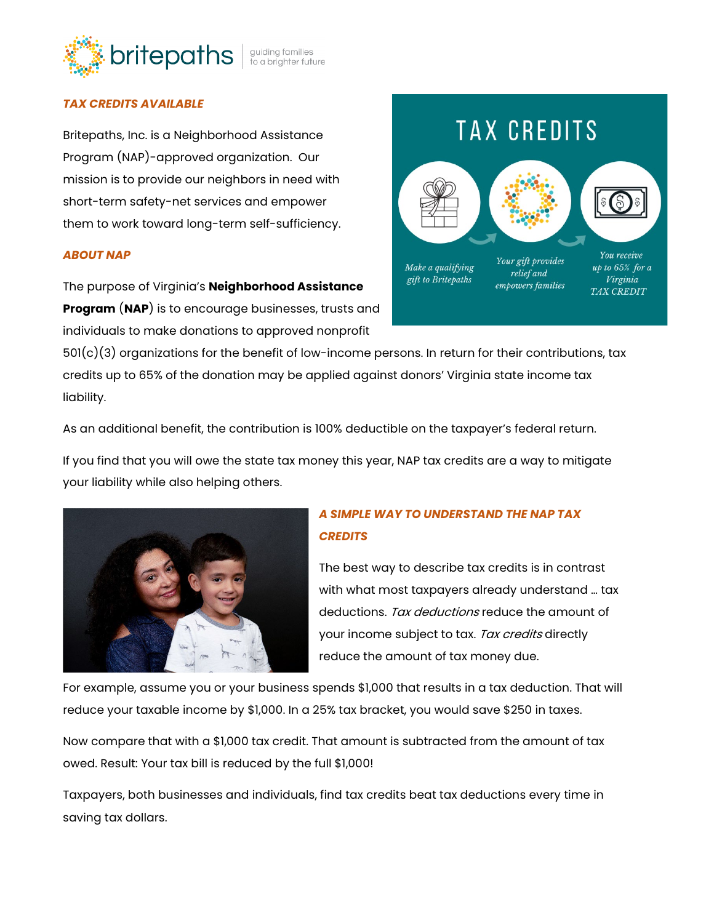

## *TAX CREDITS AVAILABLE*

Britepaths, Inc. is a Neighborhood Assistance Program (NAP)-approved organization. Our mission is to provide our neighbors in need with short-term safety-net services and empower them to work toward long-term self-sufficiency.

#### *ABOUT NAP*

The purpose of Virginia's **Neighborhood Assistance Program** (**[NAP](https://dss.virginia.gov/community/nap.cgi)**) is to encourage businesses, trusts and individuals to make donations to approved nonprofit

 $501(c)(3)$  organizations for the benefit of low-income persons. In return for their contributions, tax credits up to 65% of the donation may be applied against donors' Virginia state income tax liability.

As an additional benefit, the contribution is 100% deductible on the taxpayer's federal return.

If you find that you will owe the state tax money this year, NAP tax credits are a way to mitigate your liability while also helping others.



# *A SIMPLE WAY TO UNDERSTAND THE NAP TAX CREDITS*

The best way to describe tax credits is in contrast with what most taxpayers already understand … tax deductions. Tax deductions reduce the amount of your income subject to tax. Tax credits directly reduce the amount of tax money due.

For example, assume you or your business spends \$1,000 that results in a tax deduction. That will reduce your taxable income by \$1,000. In a 25% tax bracket, you would save \$250 in taxes.

Now compare that with a \$1,000 tax credit. That amount is subtracted from the amount of tax owed. Result: Your tax bill is reduced by the full \$1,000!

Taxpayers, both businesses and individuals, find tax credits beat tax deductions every time in saving tax dollars.